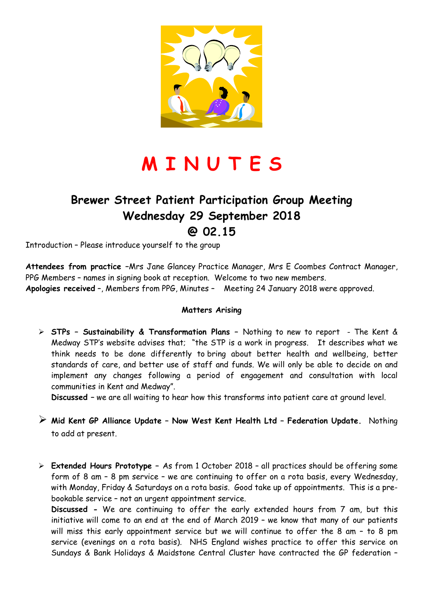

# **M I N U T E S**

### **Brewer Street Patient Participation Group Meeting Wednesday 29 September 2018 @ 02.15**

Introduction – Please introduce yourself to the group

**Attendees from practice –**Mrs Jane Glancey Practice Manager, Mrs E Coombes Contract Manager, PPG Members – names in signing book at reception. Welcome to two new members. **Apologies received** –, Members from PPG, Minutes – Meeting 24 January 2018 were approved.

#### **Matters Arising**

 **STPs – Sustainability & Transformation Plans –** Nothing to new to report - The Kent & Medway STP's website advises that; "the STP is a work in progress. It describes what we think needs to be done differently to bring about better health and wellbeing, better standards of care, and better use of staff and funds. We will only be able to decide on and implement any changes following a period of engagement and consultation with local communities in Kent and Medway".

**Discussed –** we are all waiting to hear how this transforms into patient care at ground level.

 **Mid Kent GP Alliance Update – Now West Kent Health Ltd – Federation Update.** Nothing to add at present.

 **Extended Hours Prototype –** As from 1 October 2018 – all practices should be offering some form of 8 am – 8 pm service – we are continuing to offer on a rota basis, every Wednesday, with Monday, Friday & Saturdays on a rota basis. Good take up of appointments. This is a prebookable service – not an urgent appointment service.

**Discussed -** We are continuing to offer the early extended hours from 7 am, but this initiative will come to an end at the end of March 2019 – we know that many of our patients will miss this early appointment service but we will continue to offer the 8 am – to 8 pm service (evenings on a rota basis). NHS England wishes practice to offer this service on Sundays & Bank Holidays & Maidstone Central Cluster have contracted the GP federation –